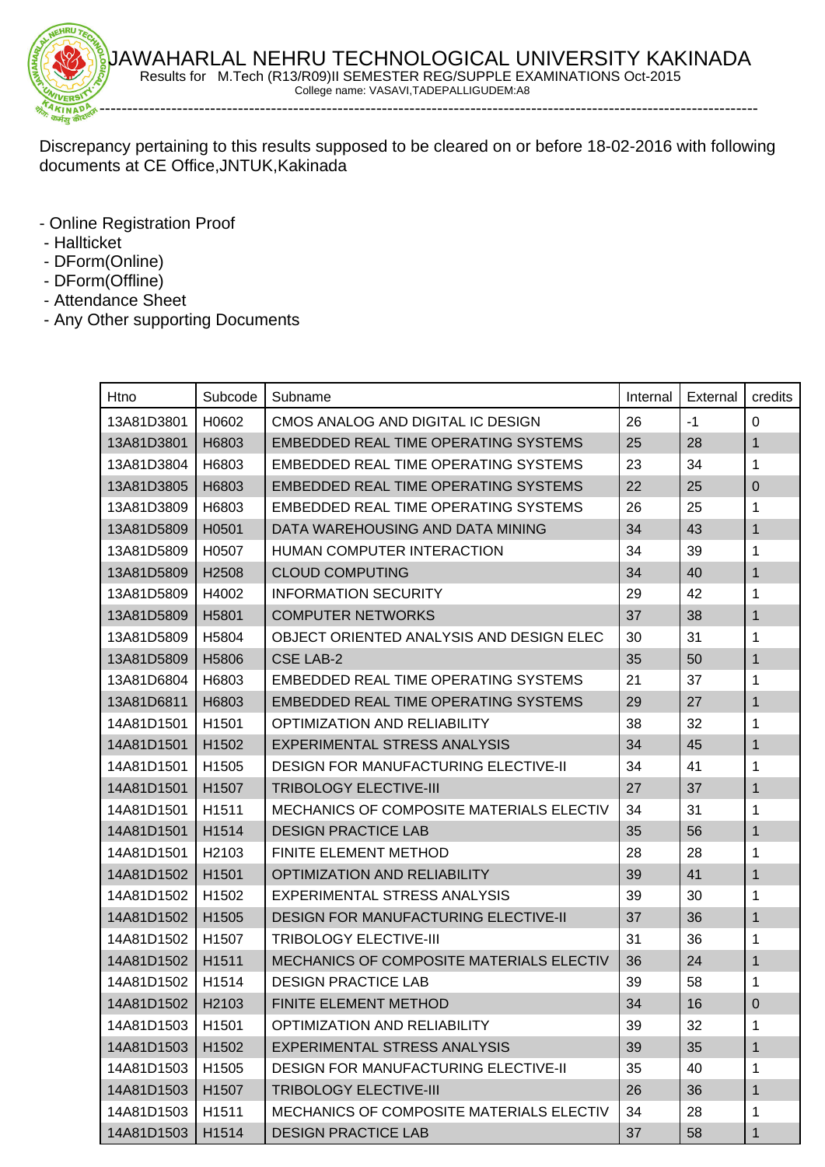

Discrepancy pertaining to this results supposed to be cleared on or before 18-02-2016 with following documents at CE Office,JNTUK,Kakinada

- Online Registration Proof
- Hallticket
- DForm(Online)
- DForm(Offline)
- Attendance Sheet
- Any Other supporting Documents

| Htno               | Subcode           | Subname                                         | Internal | External | credits        |
|--------------------|-------------------|-------------------------------------------------|----------|----------|----------------|
| 13A81D3801         | H0602             | CMOS ANALOG AND DIGITAL IC DESIGN               | 26       | $-1$     | 0              |
| 13A81D3801         | H6803             | <b>EMBEDDED REAL TIME OPERATING SYSTEMS</b>     | 25       | 28       | 1              |
| 13A81D3804         | H6803             | <b>EMBEDDED REAL TIME OPERATING SYSTEMS</b>     | 23       | 34       | 1              |
| 13A81D3805         | H6803             | <b>EMBEDDED REAL TIME OPERATING SYSTEMS</b>     | 22       | 25       | $\overline{0}$ |
| 13A81D3809         | H6803             | EMBEDDED REAL TIME OPERATING SYSTEMS            | 26       | 25       | 1              |
| 13A81D5809         | H0501             | DATA WAREHOUSING AND DATA MINING                | 34       | 43       | $\mathbf{1}$   |
| 13A81D5809         | H0507             | HUMAN COMPUTER INTERACTION                      | 34       | 39       | 1              |
| 13A81D5809         | H2508             | <b>CLOUD COMPUTING</b>                          | 34       | 40       | 1              |
| 13A81D5809         | H4002             | <b>INFORMATION SECURITY</b>                     | 29       | 42       | 1              |
| 13A81D5809         | H5801             | <b>COMPUTER NETWORKS</b>                        | 37       | 38       | $\mathbf{1}$   |
| 13A81D5809         | H5804             | OBJECT ORIENTED ANALYSIS AND DESIGN ELEC        | 30       | 31       | 1              |
| 13A81D5809         | H5806             | <b>CSE LAB-2</b>                                | 35       | 50       | 1              |
| 13A81D6804         | H6803             | <b>EMBEDDED REAL TIME OPERATING SYSTEMS</b>     | 21       | 37       | 1              |
| 13A81D6811         | H6803             | <b>EMBEDDED REAL TIME OPERATING SYSTEMS</b>     | 29       | 27       | 1              |
| 14A81D1501         | H <sub>1501</sub> | <b>OPTIMIZATION AND RELIABILITY</b>             | 38       | 32       | 1              |
| 14A81D1501         | H <sub>1502</sub> | <b>EXPERIMENTAL STRESS ANALYSIS</b>             | 34       | 45       | $\mathbf{1}$   |
| 14A81D1501         | H <sub>1505</sub> | <b>DESIGN FOR MANUFACTURING ELECTIVE-II</b>     | 34       | 41       | 1              |
| 14A81D1501         | H1507             | <b>TRIBOLOGY ELECTIVE-III</b>                   | 27       | 37       | 1              |
| 14A81D1501         | H <sub>1511</sub> | <b>MECHANICS OF COMPOSITE MATERIALS ELECTIV</b> | 34       | 31       | 1              |
| 14A81D1501         | H <sub>1514</sub> | <b>DESIGN PRACTICE LAB</b>                      | 35       | 56       | $\mathbf 1$    |
| 14A81D1501         | H <sub>2103</sub> | <b>FINITE ELEMENT METHOD</b>                    | 28       | 28       | 1              |
| 14A81D1502         | H <sub>1501</sub> | OPTIMIZATION AND RELIABILITY                    | 39       | 41       | $\mathbf{1}$   |
| 14A81D1502         | H <sub>1502</sub> | <b>EXPERIMENTAL STRESS ANALYSIS</b>             | 39       | 30       | 1              |
| 14A81D1502         | H1505             | <b>DESIGN FOR MANUFACTURING ELECTIVE-II</b>     | 37       | 36       | 1              |
| 14A81D1502         | H <sub>1507</sub> | <b>TRIBOLOGY ELECTIVE-III</b>                   | 31       | 36       | 1              |
| 14A81D1502         | H <sub>1511</sub> | MECHANICS OF COMPOSITE MATERIALS ELECTIV        | 36       | 24       | $\mathbf{1}$   |
| 14A81D1502         | H1514             | <b>DESIGN PRACTICE LAB</b>                      | 39       | 58       | 1              |
| 14A81D1502   H2103 |                   | FINITE ELEMENT METHOD                           | 34       | 16       | $\pmb{0}$      |
| 14A81D1503         | H <sub>1501</sub> | <b>OPTIMIZATION AND RELIABILITY</b>             | 39       | 32       | 1              |
| 14A81D1503         | H1502             | <b>EXPERIMENTAL STRESS ANALYSIS</b>             | 39       | 35       | 1              |
| 14A81D1503         | H1505             | <b>DESIGN FOR MANUFACTURING ELECTIVE-II</b>     | 35       | 40       | 1              |
| 14A81D1503         | H1507             | <b>TRIBOLOGY ELECTIVE-III</b>                   | 26       | 36       | $\mathbf{1}$   |
| 14A81D1503         | H1511             | MECHANICS OF COMPOSITE MATERIALS ELECTIV        | 34       | 28       | 1              |
| 14A81D1503         | H1514             | <b>DESIGN PRACTICE LAB</b>                      | 37       | 58       | 1              |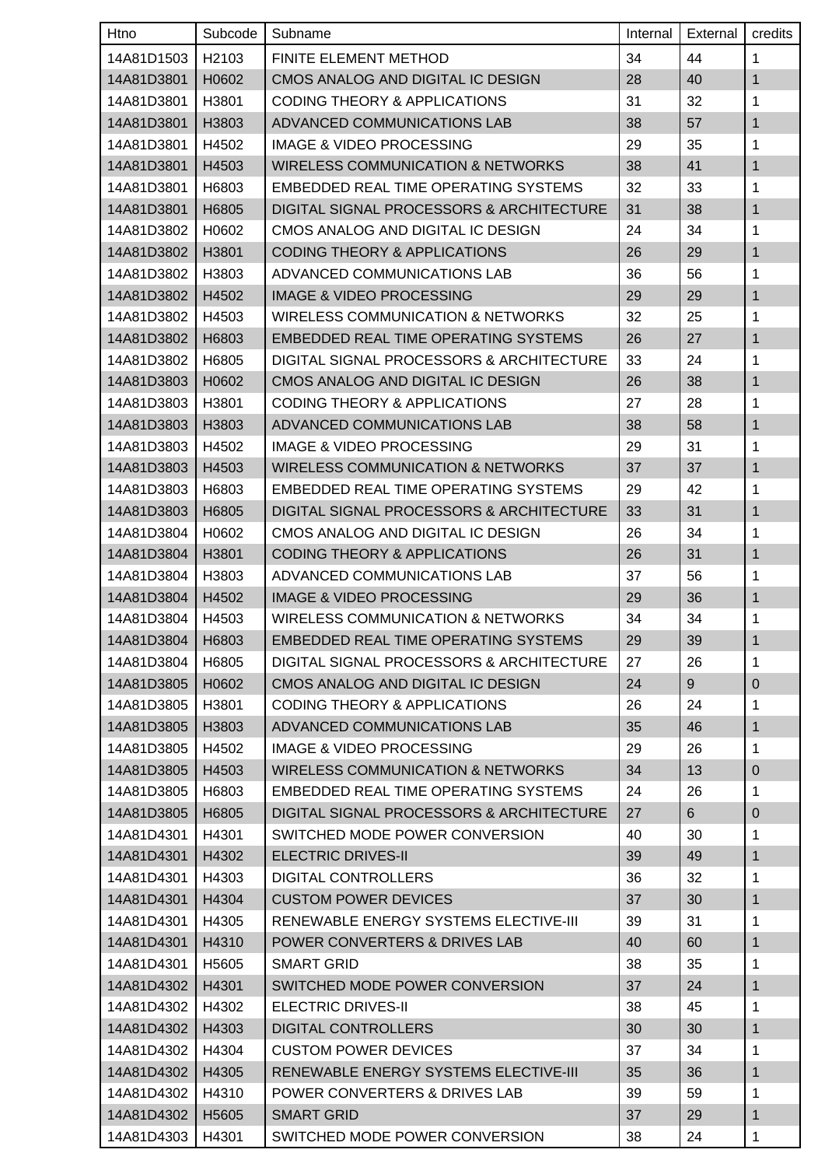| Htno       | Subcode           | Subname                                      | Internal | External | credits      |
|------------|-------------------|----------------------------------------------|----------|----------|--------------|
| 14A81D1503 | H <sub>2103</sub> | <b>FINITE ELEMENT METHOD</b>                 | 34       | 44       | 1            |
| 14A81D3801 | H0602             | CMOS ANALOG AND DIGITAL IC DESIGN            | 28       | 40       | $\mathbf{1}$ |
| 14A81D3801 | H3801             | <b>CODING THEORY &amp; APPLICATIONS</b>      | 31       | 32       | 1            |
| 14A81D3801 | H3803             | ADVANCED COMMUNICATIONS LAB                  | 38       | 57       | 1            |
| 14A81D3801 | H4502             | <b>IMAGE &amp; VIDEO PROCESSING</b>          | 29       | 35       | 1            |
| 14A81D3801 | H4503             | <b>WIRELESS COMMUNICATION &amp; NETWORKS</b> | 38       | 41       | $\mathbf{1}$ |
| 14A81D3801 | H6803             | EMBEDDED REAL TIME OPERATING SYSTEMS         | 32       | 33       | 1            |
| 14A81D3801 | H6805             | DIGITAL SIGNAL PROCESSORS & ARCHITECTURE     | 31       | 38       | $\mathbf{1}$ |
| 14A81D3802 | H0602             | CMOS ANALOG AND DIGITAL IC DESIGN            | 24       | 34       | 1            |
| 14A81D3802 | H3801             | <b>CODING THEORY &amp; APPLICATIONS</b>      | 26       | 29       | $\mathbf 1$  |
| 14A81D3802 | H3803             | ADVANCED COMMUNICATIONS LAB                  | 36       | 56       | 1            |
| 14A81D3802 | H4502             | <b>IMAGE &amp; VIDEO PROCESSING</b>          | 29       | 29       | $\mathbf{1}$ |
| 14A81D3802 | H4503             | <b>WIRELESS COMMUNICATION &amp; NETWORKS</b> | 32       | 25       | 1            |
| 14A81D3802 | H6803             | <b>EMBEDDED REAL TIME OPERATING SYSTEMS</b>  | 26       | 27       | $\mathbf{1}$ |
| 14A81D3802 | H6805             | DIGITAL SIGNAL PROCESSORS & ARCHITECTURE     | 33       | 24       | 1            |
| 14A81D3803 | H0602             | CMOS ANALOG AND DIGITAL IC DESIGN            | 26       | 38       | 1            |
| 14A81D3803 | H3801             | <b>CODING THEORY &amp; APPLICATIONS</b>      | 27       | 28       | 1            |
| 14A81D3803 | H3803             | ADVANCED COMMUNICATIONS LAB                  | 38       | 58       | $\mathbf{1}$ |
| 14A81D3803 | H4502             | <b>IMAGE &amp; VIDEO PROCESSING</b>          | 29       | 31       | 1            |
| 14A81D3803 | H4503             | <b>WIRELESS COMMUNICATION &amp; NETWORKS</b> | 37       | 37       | $\mathbf{1}$ |
| 14A81D3803 | H6803             | EMBEDDED REAL TIME OPERATING SYSTEMS         | 29       | 42       | 1            |
| 14A81D3803 | H6805             | DIGITAL SIGNAL PROCESSORS & ARCHITECTURE     | 33       | 31       | 1            |
| 14A81D3804 | H0602             | CMOS ANALOG AND DIGITAL IC DESIGN            | 26       | 34       | 1            |
| 14A81D3804 | H3801             | <b>CODING THEORY &amp; APPLICATIONS</b>      | 26       | 31       | $\mathbf{1}$ |
| 14A81D3804 | H3803             | ADVANCED COMMUNICATIONS LAB                  | 37       | 56       | 1            |
| 14A81D3804 | H4502             | <b>IMAGE &amp; VIDEO PROCESSING</b>          | 29       | 36       | 1            |
| 14A81D3804 | H4503             | <b>WIRELESS COMMUNICATION &amp; NETWORKS</b> | 34       | 34       | 1            |
| 14A81D3804 | H6803             | EMBEDDED REAL TIME OPERATING SYSTEMS         | 29       | 39       | 1            |
| 14A81D3804 | H6805             | DIGITAL SIGNAL PROCESSORS & ARCHITECTURE     | 27       | 26       | 1            |
| 14A81D3805 | H0602             | CMOS ANALOG AND DIGITAL IC DESIGN            | 24       | 9        | $\pmb{0}$    |
| 14A81D3805 | H3801             | <b>CODING THEORY &amp; APPLICATIONS</b>      | 26       | 24       | 1            |
| 14A81D3805 | H3803             | ADVANCED COMMUNICATIONS LAB                  | 35       | 46       | 1            |
| 14A81D3805 | H4502             | <b>IMAGE &amp; VIDEO PROCESSING</b>          | 29       | 26       | 1            |
| 14A81D3805 | H4503             | <b>WIRELESS COMMUNICATION &amp; NETWORKS</b> | 34       | 13       | $\mathbf 0$  |
| 14A81D3805 | H6803             | EMBEDDED REAL TIME OPERATING SYSTEMS         | 24       | 26       | 1            |
| 14A81D3805 | H6805             | DIGITAL SIGNAL PROCESSORS & ARCHITECTURE     | 27       | 6        | $\mathbf 0$  |
| 14A81D4301 | H4301             | SWITCHED MODE POWER CONVERSION               | 40       | 30       | 1            |
| 14A81D4301 | H4302             | <b>ELECTRIC DRIVES-II</b>                    | 39       | 49       | $\mathbf{1}$ |
| 14A81D4301 | H4303             | <b>DIGITAL CONTROLLERS</b>                   | 36       | 32       | 1            |
| 14A81D4301 | H4304             | <b>CUSTOM POWER DEVICES</b>                  | 37       | 30       | $\mathbf{1}$ |
| 14A81D4301 | H4305             | RENEWABLE ENERGY SYSTEMS ELECTIVE-III        | 39       | 31       | 1            |
| 14A81D4301 | H4310             | POWER CONVERTERS & DRIVES LAB                | 40       | 60       | $\mathbf{1}$ |
| 14A81D4301 | H5605             | <b>SMART GRID</b>                            | 38       | 35       | 1            |
| 14A81D4302 | H4301             | SWITCHED MODE POWER CONVERSION               | 37       | 24       | $\mathbf{1}$ |
| 14A81D4302 | H4302             | <b>ELECTRIC DRIVES-II</b>                    | 38       | 45       | 1            |
| 14A81D4302 | H4303             | <b>DIGITAL CONTROLLERS</b>                   | 30       | 30       | 1            |
| 14A81D4302 | H4304             | <b>CUSTOM POWER DEVICES</b>                  | 37       | 34       | 1            |
| 14A81D4302 | H4305             | RENEWABLE ENERGY SYSTEMS ELECTIVE-III        | 35       | 36       | $\mathbf{1}$ |
| 14A81D4302 | H4310             | POWER CONVERTERS & DRIVES LAB                | 39       | 59       | 1            |
| 14A81D4302 | H <sub>5605</sub> | <b>SMART GRID</b>                            | 37       | 29       | 1            |
| 14A81D4303 | H4301             | SWITCHED MODE POWER CONVERSION               | 38       | 24       | 1            |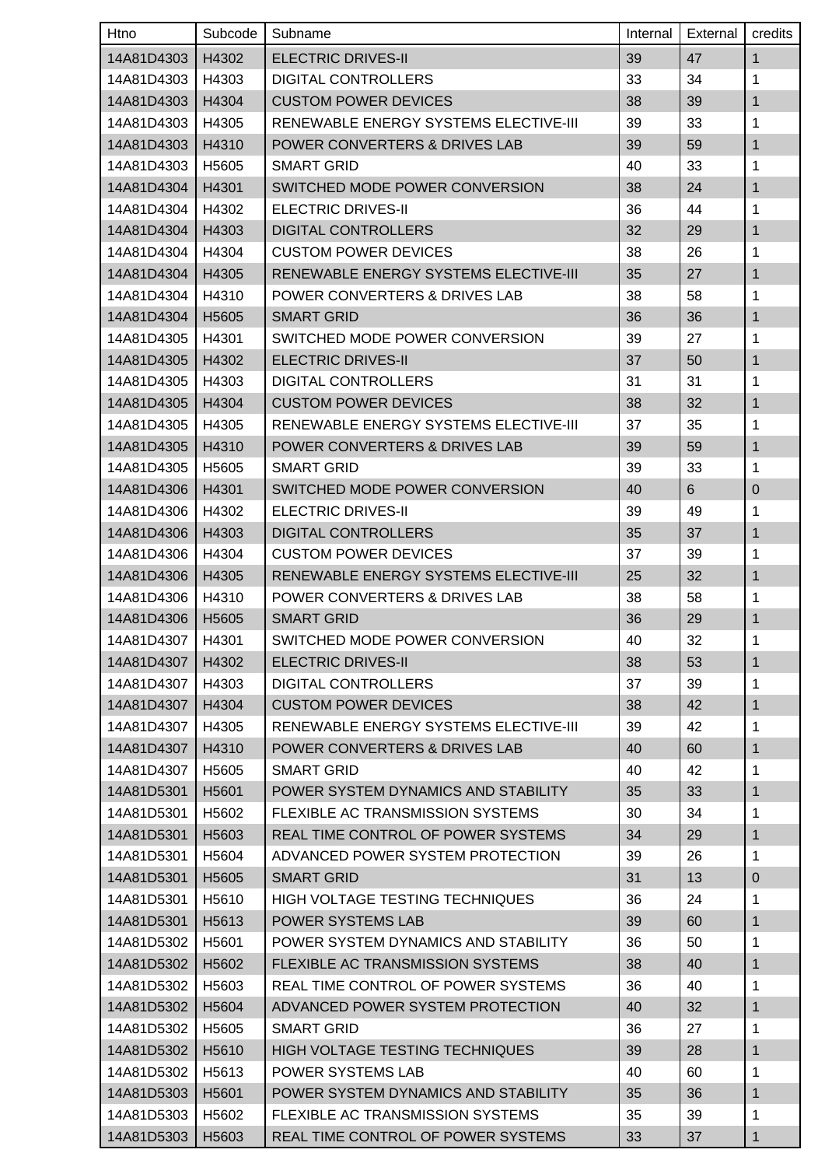| Htno       | Subcode           | Subname                                      | Internal | External | credits      |
|------------|-------------------|----------------------------------------------|----------|----------|--------------|
| 14A81D4303 | H4302             | <b>ELECTRIC DRIVES-II</b>                    | 39       | 47       | $\mathbf{1}$ |
| 14A81D4303 | H4303             | <b>DIGITAL CONTROLLERS</b>                   | 33       | 34       | 1            |
| 14A81D4303 | H4304             | <b>CUSTOM POWER DEVICES</b>                  | 38       | 39       | 1            |
| 14A81D4303 | H4305             | RENEWABLE ENERGY SYSTEMS ELECTIVE-III        | 39       | 33       | 1            |
| 14A81D4303 | H4310             | POWER CONVERTERS & DRIVES LAB                | 39       | 59       | $\mathbf{1}$ |
| 14A81D4303 | H <sub>5605</sub> | <b>SMART GRID</b>                            | 40       | 33       | 1            |
| 14A81D4304 | H4301             | SWITCHED MODE POWER CONVERSION               | 38       | 24       | $\mathbf{1}$ |
| 14A81D4304 | H4302             | <b>ELECTRIC DRIVES-II</b>                    | 36       | 44       | 1            |
| 14A81D4304 | H4303             | <b>DIGITAL CONTROLLERS</b>                   | 32       | 29       | $\mathbf{1}$ |
| 14A81D4304 | H4304             | <b>CUSTOM POWER DEVICES</b>                  | 38       | 26       | 1            |
| 14A81D4304 | H4305             | RENEWABLE ENERGY SYSTEMS ELECTIVE-III        | 35       | 27       | $\mathbf{1}$ |
| 14A81D4304 | H4310             | POWER CONVERTERS & DRIVES LAB                | 38       | 58       | 1            |
| 14A81D4304 | H <sub>5605</sub> | <b>SMART GRID</b>                            | 36       | 36       | 1            |
| 14A81D4305 | H4301             | SWITCHED MODE POWER CONVERSION               | 39       | 27       | 1            |
| 14A81D4305 | H4302             | <b>ELECTRIC DRIVES-II</b>                    | 37       | 50       | $\mathbf{1}$ |
| 14A81D4305 | H4303             | <b>DIGITAL CONTROLLERS</b>                   | 31       | 31       | 1            |
| 14A81D4305 | H4304             | <b>CUSTOM POWER DEVICES</b>                  | 38       | 32       | $\mathbf{1}$ |
| 14A81D4305 | H4305             | RENEWABLE ENERGY SYSTEMS ELECTIVE-III        | 37       | 35       | 1            |
| 14A81D4305 | H4310             | POWER CONVERTERS & DRIVES LAB                | 39       | 59       | 1            |
| 14A81D4305 | H <sub>5605</sub> | <b>SMART GRID</b>                            | 39       | 33       | 1            |
| 14A81D4306 | H4301             | SWITCHED MODE POWER CONVERSION               | 40       | 6        | $\mathbf{0}$ |
| 14A81D4306 | H4302             | <b>ELECTRIC DRIVES-II</b>                    | 39       | 49       | 1            |
| 14A81D4306 | H4303             | <b>DIGITAL CONTROLLERS</b>                   | 35       | 37       | 1            |
| 14A81D4306 | H4304             | <b>CUSTOM POWER DEVICES</b>                  | 37       | 39       | 1            |
| 14A81D4306 | H4305             | <b>RENEWABLE ENERGY SYSTEMS ELECTIVE-III</b> | 25       | 32       | $\mathbf{1}$ |
| 14A81D4306 | H4310             | POWER CONVERTERS & DRIVES LAB                | 38       | 58       | $\mathbf{1}$ |
| 14A81D4306 | H5605             | <b>SMART GRID</b>                            | 36       | 29       | $\mathbf{1}$ |
| 14A81D4307 | H4301             | SWITCHED MODE POWER CONVERSION               | 40       | 32       | 1            |
| 14A81D4307 | H4302             | <b>ELECTRIC DRIVES-II</b>                    | 38       | 53       | $\mathbf{1}$ |
| 14A81D4307 | H4303             | <b>DIGITAL CONTROLLERS</b>                   | 37       | 39       | $\mathbf{1}$ |
| 14A81D4307 | H4304             | <b>CUSTOM POWER DEVICES</b>                  | 38       | 42       | $\mathbf{1}$ |
| 14A81D4307 | H4305             | RENEWABLE ENERGY SYSTEMS ELECTIVE-III        | 39       | 42       | $\mathbf{1}$ |
| 14A81D4307 | H4310             | POWER CONVERTERS & DRIVES LAB                | 40       | 60       | $\mathbf{1}$ |
| 14A81D4307 | H5605             | SMART GRID                                   | 40       | 42       | 1            |
| 14A81D5301 | H <sub>5601</sub> | POWER SYSTEM DYNAMICS AND STABILITY          | 35       | 33       | $\mathbf{1}$ |
| 14A81D5301 | H5602             | FLEXIBLE AC TRANSMISSION SYSTEMS             | 30       | 34       | 1            |
| 14A81D5301 | H5603             | REAL TIME CONTROL OF POWER SYSTEMS           | 34       | 29       | $\mathbf{1}$ |
| 14A81D5301 | H5604             | ADVANCED POWER SYSTEM PROTECTION             | 39       | 26       | $\mathbf{1}$ |
| 14A81D5301 | H5605             | <b>SMART GRID</b>                            | 31       | 13       | $\mathbf 0$  |
| 14A81D5301 | H <sub>5610</sub> | HIGH VOLTAGE TESTING TECHNIQUES              | 36       | 24       | 1            |
| 14A81D5301 | H5613             | <b>POWER SYSTEMS LAB</b>                     | 39       | 60       | $\mathbf{1}$ |
| 14A81D5302 | H5601             | POWER SYSTEM DYNAMICS AND STABILITY          | 36       | 50       | 1            |
| 14A81D5302 | H5602             | FLEXIBLE AC TRANSMISSION SYSTEMS             | 38       | 40       | $\mathbf{1}$ |
| 14A81D5302 | H <sub>5603</sub> | REAL TIME CONTROL OF POWER SYSTEMS           | 36       | 40       | $\mathbf{1}$ |
| 14A81D5302 | H <sub>5604</sub> | ADVANCED POWER SYSTEM PROTECTION             | 40       | 32       | $\mathbf{1}$ |
| 14A81D5302 | H <sub>5605</sub> | SMART GRID                                   | 36       | 27       | 1            |
| 14A81D5302 | H5610             | HIGH VOLTAGE TESTING TECHNIQUES              | 39       | 28       | $\mathbf{1}$ |
| 14A81D5302 | H5613             | POWER SYSTEMS LAB                            | 40       | 60       | $\mathbf{1}$ |
| 14A81D5303 | H5601             | POWER SYSTEM DYNAMICS AND STABILITY          | 35       | 36       | $\mathbf{1}$ |
| 14A81D5303 | H <sub>5602</sub> | FLEXIBLE AC TRANSMISSION SYSTEMS             | 35       | 39       | 1            |
| 14A81D5303 | H5603             | REAL TIME CONTROL OF POWER SYSTEMS           | 33       | 37       | 1            |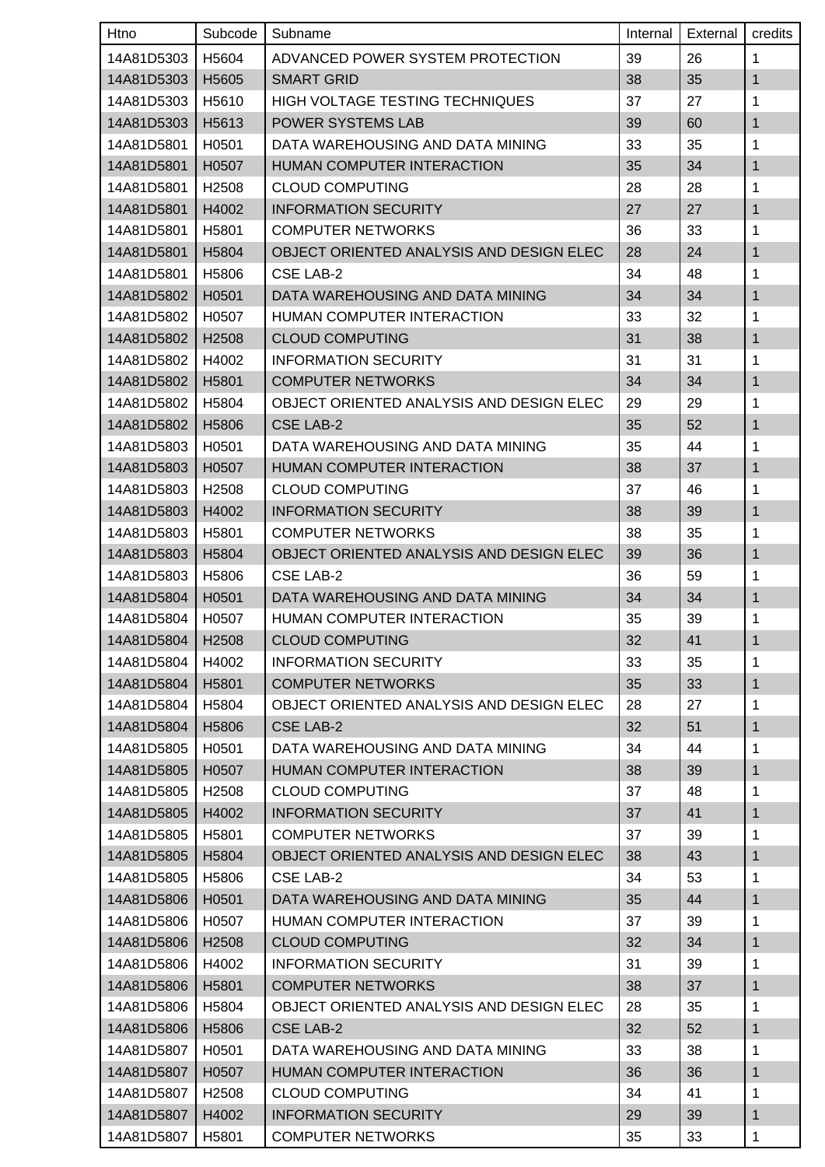| Htno               | Subcode           | Subname                                  | Internal | External | credits        |
|--------------------|-------------------|------------------------------------------|----------|----------|----------------|
| 14A81D5303         | H5604             | ADVANCED POWER SYSTEM PROTECTION         | 39       | 26       | 1              |
| 14A81D5303         | H <sub>5605</sub> | <b>SMART GRID</b>                        | 38       | 35       | $\mathbf{1}$   |
| 14A81D5303         | H5610             | HIGH VOLTAGE TESTING TECHNIQUES          | 37       | 27       | 1              |
| 14A81D5303         | H5613             | POWER SYSTEMS LAB                        | 39       | 60       | $\mathbf{1}$   |
| 14A81D5801         | H0501             | DATA WAREHOUSING AND DATA MINING         | 33       | 35       | 1              |
| 14A81D5801         | H0507             | HUMAN COMPUTER INTERACTION               | 35       | 34       | 1              |
| 14A81D5801         | H <sub>2508</sub> | <b>CLOUD COMPUTING</b>                   | 28       | 28       | 1              |
| 14A81D5801         | H4002             | <b>INFORMATION SECURITY</b>              | 27       | 27       | $\mathbf 1$    |
| 14A81D5801         | H5801             | <b>COMPUTER NETWORKS</b>                 | 36       | 33       | 1              |
| 14A81D5801         | H <sub>5804</sub> | OBJECT ORIENTED ANALYSIS AND DESIGN ELEC | 28       | 24       | $\mathbf{1}$   |
| 14A81D5801         | H <sub>5806</sub> | <b>CSE LAB-2</b>                         | 34       | 48       | 1              |
| 14A81D5802         | H0501             | DATA WAREHOUSING AND DATA MINING         | 34       | 34       | $\mathbf 1$    |
| 14A81D5802         | H0507             | HUMAN COMPUTER INTERACTION               | 33       | 32       | 1              |
| 14A81D5802         | H <sub>2508</sub> | <b>CLOUD COMPUTING</b>                   | 31       | 38       | $\mathbf{1}$   |
| 14A81D5802         | H4002             | <b>INFORMATION SECURITY</b>              | 31       | 31       | 1              |
| 14A81D5802         | H5801             | <b>COMPUTER NETWORKS</b>                 | 34       | 34       | 1              |
| 14A81D5802         | H5804             | OBJECT ORIENTED ANALYSIS AND DESIGN ELEC | 29       | 29       | 1              |
| 14A81D5802         | H <sub>5806</sub> | <b>CSE LAB-2</b>                         | 35       | 52       | 1              |
| 14A81D5803         | H0501             | DATA WAREHOUSING AND DATA MINING         | 35       | 44       | 1              |
| 14A81D5803         | H0507             | HUMAN COMPUTER INTERACTION               | 38       | 37       | $\mathbf{1}$   |
| 14A81D5803         | H <sub>2508</sub> | <b>CLOUD COMPUTING</b>                   | 37       | 46       | 1              |
| 14A81D5803         | H4002             | <b>INFORMATION SECURITY</b>              | 38       | 39       | 1              |
| 14A81D5803         | H <sub>5801</sub> | <b>COMPUTER NETWORKS</b>                 | 38       | 35       | 1              |
| 14A81D5803         | H5804             | OBJECT ORIENTED ANALYSIS AND DESIGN ELEC | 39       | 36       | $\mathbf{1}$   |
| 14A81D5803         | H5806             | <b>CSE LAB-2</b>                         | 36       | 59       | 1              |
| 14A81D5804         | H0501             | DATA WAREHOUSING AND DATA MINING         | 34       | 34       | 1              |
| 14A81D5804         | H0507             | HUMAN COMPUTER INTERACTION               | 35       | 39       | 1              |
| 14A81D5804   H2508 |                   | <b>CLOUD COMPUTING</b>                   | 32       | 41       | $\overline{1}$ |
| 14A81D5804         | H4002             | <b>INFORMATION SECURITY</b>              | 33       | 35       | 1              |
| 14A81D5804         | H5801             | <b>COMPUTER NETWORKS</b>                 | 35       | 33       | $\mathbf{1}$   |
| 14A81D5804         | H5804             | OBJECT ORIENTED ANALYSIS AND DESIGN ELEC | 28       | 27       | 1              |
| 14A81D5804         | H5806             | <b>CSE LAB-2</b>                         | 32       | 51       | 1              |
| 14A81D5805         | H0501             | DATA WAREHOUSING AND DATA MINING         | 34       | 44       | 1              |
| 14A81D5805         | H0507             | HUMAN COMPUTER INTERACTION               | 38       | 39       | $\mathbf{1}$   |
| 14A81D5805         | H <sub>2508</sub> | <b>CLOUD COMPUTING</b>                   | 37       | 48       | $\mathbf{1}$   |
| 14A81D5805         | H4002             | <b>INFORMATION SECURITY</b>              | 37       | 41       | $\mathbf{1}$   |
| 14A81D5805         | H <sub>5801</sub> | <b>COMPUTER NETWORKS</b>                 | 37       | 39       | $\mathbf 1$    |
| 14A81D5805         | H5804             | OBJECT ORIENTED ANALYSIS AND DESIGN ELEC | 38       | 43       | 1              |
| 14A81D5805         | H5806             | CSE LAB-2                                | 34       | 53       | $\mathbf 1$    |
| 14A81D5806         | H0501             | DATA WAREHOUSING AND DATA MINING         | 35       | 44       | $\mathbf{1}$   |
| 14A81D5806         | H0507             | HUMAN COMPUTER INTERACTION               | 37       | 39       | 1              |
| 14A81D5806         | H <sub>2508</sub> | <b>CLOUD COMPUTING</b>                   | 32       | 34       | $\mathbf{1}$   |
| 14A81D5806         | H4002             | <b>INFORMATION SECURITY</b>              | 31       | 39       | 1              |
| 14A81D5806         | H <sub>5801</sub> | <b>COMPUTER NETWORKS</b>                 | 38       | 37       | $\mathbf{1}$   |
| 14A81D5806         | H5804             | OBJECT ORIENTED ANALYSIS AND DESIGN ELEC | 28       | 35       | $\mathbf{1}$   |
| 14A81D5806         | H5806             | <b>CSE LAB-2</b>                         | 32       | 52       | $\mathbf{1}$   |
| 14A81D5807         | H0501             | DATA WAREHOUSING AND DATA MINING         | 33       | 38       | 1              |
| 14A81D5807         | H0507             | HUMAN COMPUTER INTERACTION               | 36       | 36       | 1              |
| 14A81D5807         | H <sub>2508</sub> | <b>CLOUD COMPUTING</b>                   | 34       | 41       | $\mathbf 1$    |
| 14A81D5807         | H4002             | <b>INFORMATION SECURITY</b>              | 29       | 39       | 1              |
| 14A81D5807         | H5801             | <b>COMPUTER NETWORKS</b>                 | 35       | 33       | 1              |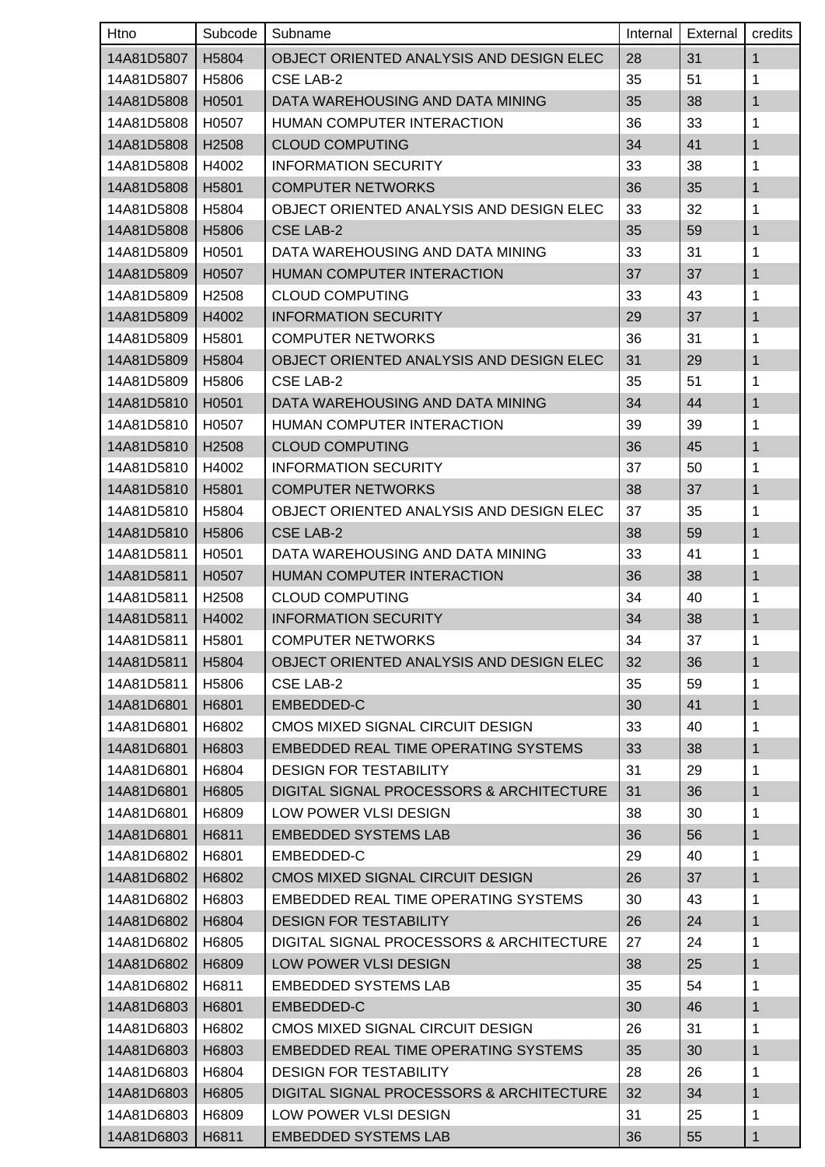| Htno       | Subcode           | Subname                                  | Internal | External | credits      |
|------------|-------------------|------------------------------------------|----------|----------|--------------|
| 14A81D5807 | H5804             | OBJECT ORIENTED ANALYSIS AND DESIGN ELEC | 28       | 31       | $\mathbf{1}$ |
| 14A81D5807 | H5806             | <b>CSE LAB-2</b>                         | 35       | 51       | 1            |
| 14A81D5808 | H0501             | DATA WAREHOUSING AND DATA MINING         | 35       | 38       | $\mathbf{1}$ |
| 14A81D5808 | H0507             | HUMAN COMPUTER INTERACTION               | 36       | 33       | 1            |
| 14A81D5808 | H2508             | <b>CLOUD COMPUTING</b>                   | 34       | 41       | 1            |
| 14A81D5808 | H4002             | <b>INFORMATION SECURITY</b>              | 33       | 38       | 1            |
| 14A81D5808 | H5801             | <b>COMPUTER NETWORKS</b>                 | 36       | 35       | $\mathbf 1$  |
| 14A81D5808 | H5804             | OBJECT ORIENTED ANALYSIS AND DESIGN ELEC | 33       | 32       | 1            |
| 14A81D5808 | H5806             | <b>CSE LAB-2</b>                         | 35       | 59       | 1            |
| 14A81D5809 | H0501             | DATA WAREHOUSING AND DATA MINING         | 33       | 31       | 1            |
| 14A81D5809 | H0507             | HUMAN COMPUTER INTERACTION               | 37       | 37       | 1            |
| 14A81D5809 | H <sub>2508</sub> | <b>CLOUD COMPUTING</b>                   | 33       | 43       | 1            |
| 14A81D5809 | H4002             | <b>INFORMATION SECURITY</b>              | 29       | 37       | $\mathbf{1}$ |
| 14A81D5809 | H <sub>5801</sub> | <b>COMPUTER NETWORKS</b>                 | 36       | 31       | 1            |
| 14A81D5809 | H5804             | OBJECT ORIENTED ANALYSIS AND DESIGN ELEC | 31       | 29       | $\mathbf{1}$ |
| 14A81D5809 | H5806             | <b>CSE LAB-2</b>                         | 35       | 51       | 1            |
| 14A81D5810 | H0501             | DATA WAREHOUSING AND DATA MINING         | 34       | 44       | 1            |
| 14A81D5810 | H0507             | HUMAN COMPUTER INTERACTION               | 39       | 39       | 1            |
| 14A81D5810 | H <sub>2508</sub> | <b>CLOUD COMPUTING</b>                   | 36       | 45       | 1            |
| 14A81D5810 | H4002             | <b>INFORMATION SECURITY</b>              | 37       | 50       | 1            |
| 14A81D5810 | H5801             | <b>COMPUTER NETWORKS</b>                 | 38       | 37       | 1            |
| 14A81D5810 | H5804             | OBJECT ORIENTED ANALYSIS AND DESIGN ELEC | 37       | 35       | 1            |
| 14A81D5810 | H <sub>5806</sub> | <b>CSE LAB-2</b>                         | 38       | 59       | 1            |
| 14A81D5811 | H0501             | DATA WAREHOUSING AND DATA MINING         | 33       | 41       | 1            |
| 14A81D5811 | H0507             | <b>HUMAN COMPUTER INTERACTION</b>        | 36       | 38       | $\mathbf{1}$ |
| 14A81D5811 | H <sub>2508</sub> | <b>CLOUD COMPUTING</b>                   | 34       | 40       | 1            |
| 14A81D5811 | H4002             | <b>INFORMATION SECURITY</b>              | 34       | 38       | 1            |
| 14A81D5811 | H5801             | <b>COMPUTER NETWORKS</b>                 | 34       | 37       | 1            |
| 14A81D5811 | H5804             | OBJECT ORIENTED ANALYSIS AND DESIGN ELEC | 32       | 36       | $\mathbf{1}$ |
| 14A81D5811 | H5806             | CSE LAB-2                                | 35       | 59       | 1            |
| 14A81D6801 | H6801             | EMBEDDED-C                               | 30       | 41       | 1            |
| 14A81D6801 | H6802             | CMOS MIXED SIGNAL CIRCUIT DESIGN         | 33       | 40       | $\mathbf 1$  |
| 14A81D6801 | H6803             | EMBEDDED REAL TIME OPERATING SYSTEMS     | 33       | 38       | 1            |
| 14A81D6801 | H6804             | <b>DESIGN FOR TESTABILITY</b>            | 31       | 29       | 1            |
| 14A81D6801 | H6805             | DIGITAL SIGNAL PROCESSORS & ARCHITECTURE | 31       | 36       | $\mathbf{1}$ |
| 14A81D6801 | H6809             | LOW POWER VLSI DESIGN                    | 38       | 30       | 1            |
| 14A81D6801 | H6811             | <b>EMBEDDED SYSTEMS LAB</b>              | 36       | 56       | 1            |
| 14A81D6802 | H6801             | EMBEDDED-C                               | 29       | 40       | 1            |
| 14A81D6802 | H6802             | CMOS MIXED SIGNAL CIRCUIT DESIGN         | 26       | 37       | $\mathbf{1}$ |
| 14A81D6802 | H6803             | EMBEDDED REAL TIME OPERATING SYSTEMS     | 30       | 43       | $\mathbf{1}$ |
| 14A81D6802 | H6804             | <b>DESIGN FOR TESTABILITY</b>            | 26       | 24       | $\mathbf{1}$ |
| 14A81D6802 | H6805             | DIGITAL SIGNAL PROCESSORS & ARCHITECTURE | 27       | 24       | 1            |
| 14A81D6802 | H6809             | LOW POWER VLSI DESIGN                    | 38       | 25       | 1            |
| 14A81D6802 | H6811             | <b>EMBEDDED SYSTEMS LAB</b>              | 35       | 54       | 1            |
| 14A81D6803 | H6801             | EMBEDDED-C                               | 30       | 46       | $\mathbf{1}$ |
| 14A81D6803 | H6802             | CMOS MIXED SIGNAL CIRCUIT DESIGN         | 26       | 31       | 1            |
| 14A81D6803 | H6803             | EMBEDDED REAL TIME OPERATING SYSTEMS     | 35       | 30       | 1            |
| 14A81D6803 | H6804             | <b>DESIGN FOR TESTABILITY</b>            | 28       | 26       | 1            |
| 14A81D6803 | H6805             | DIGITAL SIGNAL PROCESSORS & ARCHITECTURE | 32       | 34       | $\mathbf{1}$ |
| 14A81D6803 | H6809             | LOW POWER VLSI DESIGN                    | 31       | 25       | 1            |
| 14A81D6803 | H6811             | <b>EMBEDDED SYSTEMS LAB</b>              | 36       | 55       | 1            |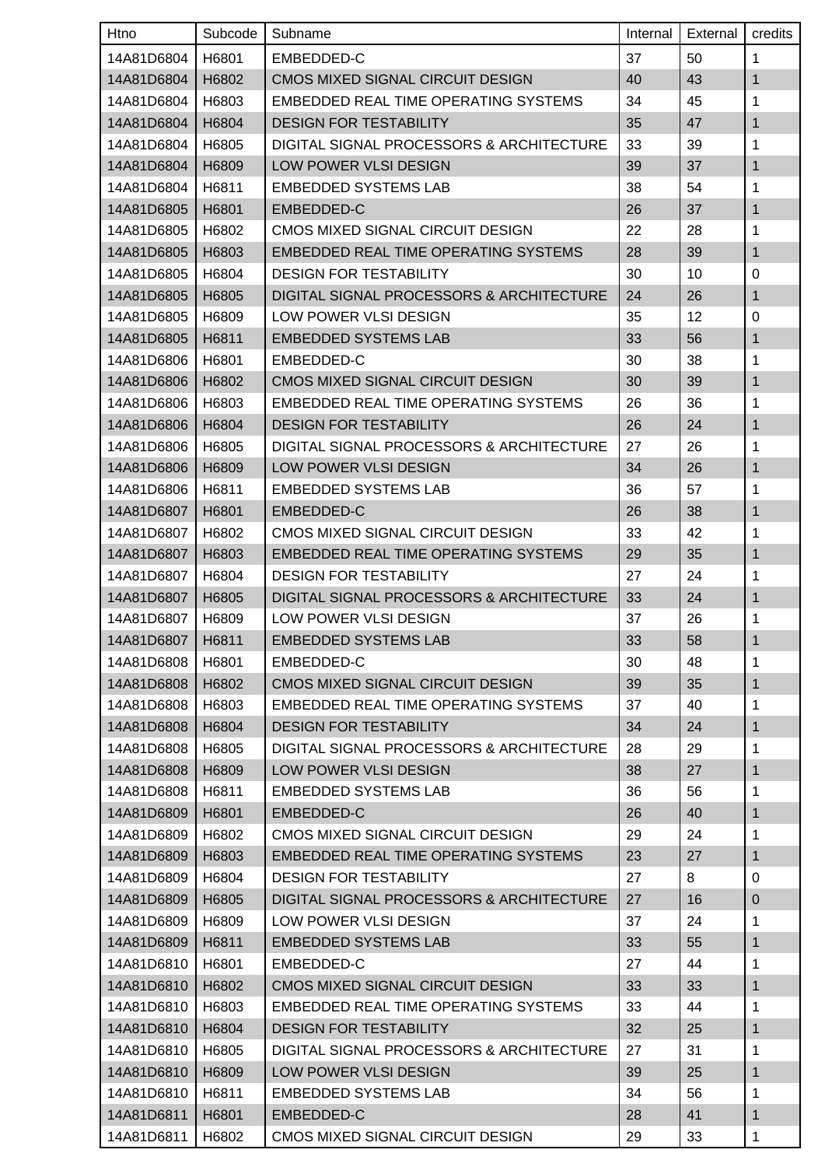| Htno               | Subcode | Subname                                     | Internal | External | credits      |
|--------------------|---------|---------------------------------------------|----------|----------|--------------|
| 14A81D6804         | H6801   | EMBEDDED-C                                  | 37       | 50       | 1            |
| 14A81D6804         | H6802   | CMOS MIXED SIGNAL CIRCUIT DESIGN            | 40       | 43       | $\mathbf{1}$ |
| 14A81D6804         | H6803   | EMBEDDED REAL TIME OPERATING SYSTEMS        | 34       | 45       | 1            |
| 14A81D6804         | H6804   | <b>DESIGN FOR TESTABILITY</b>               | 35       | 47       | $\mathbf{1}$ |
| 14A81D6804         | H6805   | DIGITAL SIGNAL PROCESSORS & ARCHITECTURE    | 33       | 39       | 1            |
| 14A81D6804         | H6809   | LOW POWER VLSI DESIGN                       | 39       | 37       | 1            |
| 14A81D6804         | H6811   | <b>EMBEDDED SYSTEMS LAB</b>                 | 38       | 54       | 1            |
| 14A81D6805         | H6801   | EMBEDDED-C                                  | 26       | 37       | $\mathbf{1}$ |
| 14A81D6805         | H6802   | CMOS MIXED SIGNAL CIRCUIT DESIGN            | 22       | 28       | 1            |
| 14A81D6805         | H6803   | <b>EMBEDDED REAL TIME OPERATING SYSTEMS</b> | 28       | 39       | $\mathbf{1}$ |
| 14A81D6805         | H6804   | <b>DESIGN FOR TESTABILITY</b>               | 30       | 10       | 0            |
| 14A81D6805         | H6805   | DIGITAL SIGNAL PROCESSORS & ARCHITECTURE    | 24       | 26       | $\mathbf{1}$ |
| 14A81D6805         | H6809   | LOW POWER VLSI DESIGN                       | 35       | 12       | 0            |
| 14A81D6805         | H6811   | <b>EMBEDDED SYSTEMS LAB</b>                 | 33       | 56       | $\mathbf{1}$ |
| 14A81D6806         | H6801   | EMBEDDED-C                                  | 30       | 38       | 1            |
| 14A81D6806         | H6802   | CMOS MIXED SIGNAL CIRCUIT DESIGN            | 30       | 39       | $\mathbf{1}$ |
| 14A81D6806         | H6803   | EMBEDDED REAL TIME OPERATING SYSTEMS        | 26       | 36       | 1            |
| 14A81D6806         | H6804   | <b>DESIGN FOR TESTABILITY</b>               | 26       | 24       | $\mathbf{1}$ |
| 14A81D6806         | H6805   | DIGITAL SIGNAL PROCESSORS & ARCHITECTURE    | 27       | 26       | 1            |
| 14A81D6806         | H6809   | LOW POWER VLSI DESIGN                       | 34       | 26       | $\mathbf{1}$ |
| 14A81D6806         | H6811   | <b>EMBEDDED SYSTEMS LAB</b>                 | 36       | 57       | 1            |
| 14A81D6807         | H6801   | EMBEDDED-C                                  | 26       | 38       | $\mathbf{1}$ |
| 14A81D6807         | H6802   | CMOS MIXED SIGNAL CIRCUIT DESIGN            | 33       | 42       | 1            |
| 14A81D6807         | H6803   | <b>EMBEDDED REAL TIME OPERATING SYSTEMS</b> | 29       | 35       | $\mathbf{1}$ |
| 14A81D6807         | H6804   | <b>DESIGN FOR TESTABILITY</b>               | 27       | 24       | 1            |
| 14A81D6807         | H6805   | DIGITAL SIGNAL PROCESSORS & ARCHITECTURE    | 33       | 24       | $\mathbf{1}$ |
| 14A81D6807         | H6809   | LOW POWER VLSI DESIGN                       | 37       | 26       | 1            |
| 14A81D6807   H6811 |         | <b>EMBEDDED SYSTEMS LAB</b>                 | 33       | 58       | $\mathbf{1}$ |
| 14A81D6808         | H6801   | EMBEDDED-C                                  | 30       | 48       | 1            |
| 14A81D6808         | H6802   | CMOS MIXED SIGNAL CIRCUIT DESIGN            | 39       | 35       | $\mathbf{1}$ |
| 14A81D6808         | H6803   | EMBEDDED REAL TIME OPERATING SYSTEMS        | 37       | 40       | 1            |
| 14A81D6808         | H6804   | <b>DESIGN FOR TESTABILITY</b>               | 34       | 24       | $\mathbf{1}$ |
| 14A81D6808         | H6805   | DIGITAL SIGNAL PROCESSORS & ARCHITECTURE    | 28       | 29       | 1            |
| 14A81D6808         | H6809   | LOW POWER VLSI DESIGN                       | 38       | 27       | $\mathbf{1}$ |
| 14A81D6808         | H6811   | <b>EMBEDDED SYSTEMS LAB</b>                 | 36       | 56       | $\mathbf{1}$ |
| 14A81D6809         | H6801   | EMBEDDED-C                                  | 26       | 40       | $\mathbf{1}$ |
| 14A81D6809         | H6802   | CMOS MIXED SIGNAL CIRCUIT DESIGN            | 29       | 24       | 1            |
| 14A81D6809         | H6803   | <b>EMBEDDED REAL TIME OPERATING SYSTEMS</b> | 23       | 27       | $\mathbf{1}$ |
| 14A81D6809         | H6804   | <b>DESIGN FOR TESTABILITY</b>               | 27       | 8        | $\mathbf 0$  |
| 14A81D6809         | H6805   | DIGITAL SIGNAL PROCESSORS & ARCHITECTURE    | 27       | 16       | $\pmb{0}$    |
| 14A81D6809         | H6809   | LOW POWER VLSI DESIGN                       | 37       | 24       | $\mathbf{1}$ |
| 14A81D6809         | H6811   | <b>EMBEDDED SYSTEMS LAB</b>                 | 33       | 55       | $\mathbf{1}$ |
| 14A81D6810         | H6801   | EMBEDDED-C                                  | 27       | 44       | 1            |
| 14A81D6810         | H6802   | CMOS MIXED SIGNAL CIRCUIT DESIGN            | 33       | 33       | $\mathbf{1}$ |
| 14A81D6810         | H6803   | EMBEDDED REAL TIME OPERATING SYSTEMS        | 33       | 44       | $\mathbf{1}$ |
| 14A81D6810         | H6804   | <b>DESIGN FOR TESTABILITY</b>               | 32       | 25       | $\mathbf{1}$ |
| 14A81D6810         | H6805   | DIGITAL SIGNAL PROCESSORS & ARCHITECTURE    | 27       | 31       | $\mathbf{1}$ |
| 14A81D6810         | H6809   | LOW POWER VLSI DESIGN                       | 39       | 25       | $\mathbf{1}$ |
| 14A81D6810         | H6811   | <b>EMBEDDED SYSTEMS LAB</b>                 | 34       | 56       | $\mathbf{1}$ |
| 14A81D6811         | H6801   | EMBEDDED-C                                  | 28       | 41       | $\mathbf{1}$ |
| 14A81D6811         | H6802   | CMOS MIXED SIGNAL CIRCUIT DESIGN            | 29       | 33       | 1            |